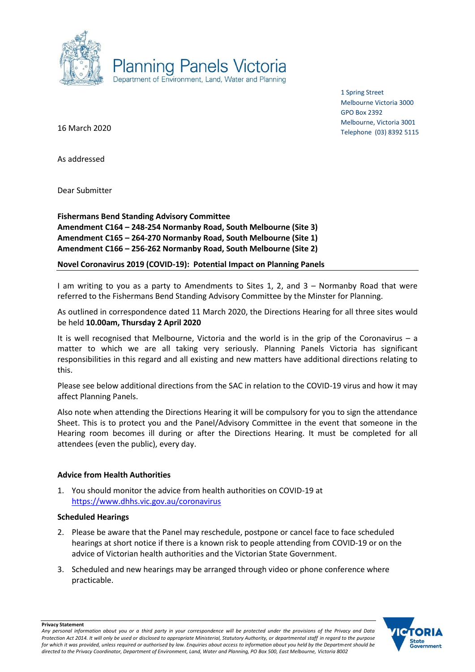

1 Spring Street Melbourne Victoria 3000 GPO Box 2392 Melbourne, Victoria 3001 Telephone (03) 8392 5115

16 March 2020

As addressed

Dear Submitter

**Fishermans Bend Standing Advisory Committee Amendment C164 – 248-254 Normanby Road, South Melbourne (Site 3) Amendment C165 – 264-270 Normanby Road, South Melbourne (Site 1) Amendment C166 – 256-262 Normanby Road, South Melbourne (Site 2)**

**Novel Coronavirus 2019 (COVID-19): Potential Impact on Planning Panels**

I am writing to you as a party to Amendments to Sites 1, 2, and 3 – Normanby Road that were referred to the Fishermans Bend Standing Advisory Committee by the Minster for Planning.

As outlined in correspondence dated 11 March 2020, the Directions Hearing for all three sites would be held **10.00am, Thursday 2 April 2020**

It is well recognised that Melbourne, Victoria and the world is in the grip of the Coronavirus – a matter to which we are all taking very seriously. Planning Panels Victoria has significant responsibilities in this regard and all existing and new matters have additional directions relating to this.

Please see below additional directions from the SAC in relation to the COVID-19 virus and how it may affect Planning Panels.

Also note when attending the Directions Hearing it will be compulsory for you to sign the attendance Sheet. This is to protect you and the Panel/Advisory Committee in the event that someone in the Hearing room becomes ill during or after the Directions Hearing. It must be completed for all attendees (even the public), every day.

## **Advice from Health Authorities**

1. You should monitor the advice from health authorities on COVID-19 at <https://www.dhhs.vic.gov.au/coronavirus>

## **Scheduled Hearings**

- 2. Please be aware that the Panel may reschedule, postpone or cancel face to face scheduled hearings at short notice if there is a known risk to people attending from COVID-19 or on the advice of Victorian health authorities and the Victorian State Government.
- 3. Scheduled and new hearings may be arranged through video or phone conference where practicable.



**Privacy Statement**

*Any personal information about you or a third party in your correspondence will be protected under the provisions of the Privacy and Data Protection Act 2014. It will only be used or disclosed to appropriate Ministerial, Statutory Authority, or departmental staff in regard to the purpose*  for which it was provided, unless required or authorised by law. Enquiries about access to information about you held by the Department should be *directed to the Privacy Coordinator, Department of Environment, Land, Water and Planning, PO Box 500, East Melbourne, Victoria 8002*